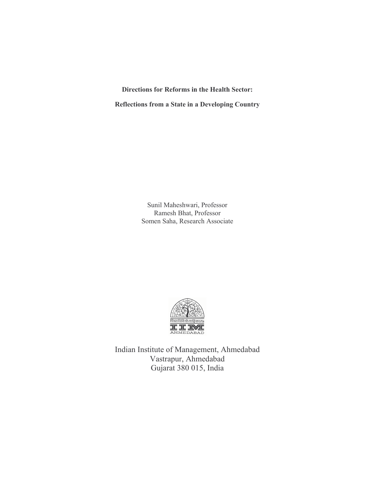Directions for Reforms in the Health Sector: Reflections from a State in a Developing Country

> Sunil Maheshwari, Professor Ramesh Bhat, Professor Somen Saha, Research Associate



Indian Institute of Management, Ahmedabad Vastrapur, Ahmedabad Gujarat 380 015, India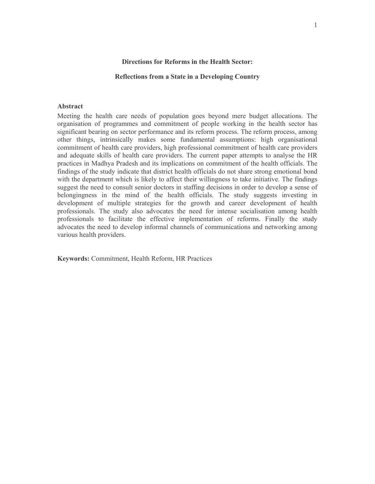## **Directions for Reforms in the Health Sector:**

### **Reflections from a State in a Developing Country**

## **Abstract**

Meeting the health care needs of population goes beyond mere budget allocations. The organisation of programmes and commitment of people working in the health sector has significant bearing on sector performance and its reform process. The reform process, among other things, intrinsically makes some fundamental assumptions: high organisational commitment of health care providers, high professional commitment of health care providers and adequate skills of health care providers. The current paper attempts to analyse the HR practices in Madhya Pradesh and its implications on commitment of the health officials. The findings of the study indicate that district health officials do not share strong emotional bond with the department which is likely to affect their willingness to take initiative. The findings suggest the need to consult senior doctors in staffing decisions in order to develop a sense of belongingness in the mind of the health officials. The study suggests investing in development of multiple strategies for the growth and career development of health professionals. The study also advocates the need for intense socialisation among health professionals to facilitate the effective implementation of reforms. Finally the study advocates the need to develop informal channels of communications and networking among various health providers.

Keywords: Commitment, Health Reform, HR Practices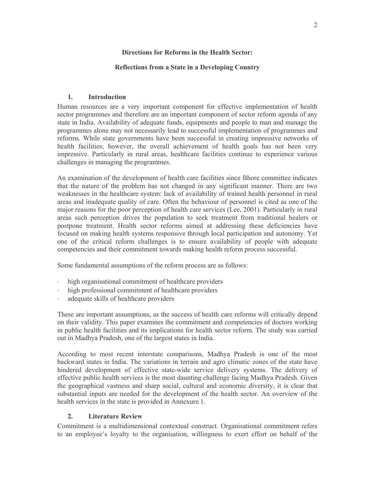## Directions for Reforms in the Health Sector:

## **Reflections from a State in a Developing Country**

### $1.$ **Introduction**

Human resources are a very important component for effective implementation of health sector programmes and therefore are an important component of sector reform agenda of any state in India. Availability of adequate funds, equipments and people to man and manage the programmes alone may not necessarily lead to successful implementation of programmes and reforms. While state governments have been successful in creating impressive networks of health facilities; however, the overall achievement of health goals has not been very impressive. Particularly in rural areas, healthcare facilities continue to experience various challenges in managing the programmes.

An examination of the development of health care facilities since Bhore committee indicates that the nature of the problem has not changed in any significant manner. There are two weaknesses in the healthcare system: lack of availability of trained health personnel in rural areas and inadequate quality of care. Often the behaviour of personnel is cited as one of the major reasons for the poor perception of health care services (Lee, 2001). Particularly in rural areas such perception drives the population to seek treatment from traditional healers or postpone treatment. Health sector reforms aimed at addressing these deficiencies have focused on making health systems responsive through local participation and autonomy. Yet one of the critical reform challenges is to ensure availability of people with adequate competencies and their commitment towards making health reform process successful.

Some fundamental assumptions of the reform process are as follows:

- $\ddot{\phantom{a}}$ high organisational commitment of healthcare providers
- high professional commitment of healthcare providers
- $\ddot{\phantom{a}}$ adequate skills of healthcare providers

These are important assumptions, as the success of health care reforms will critically depend on their validity. This paper examines the commitment and competencies of doctors working in public health facilities and its implications for health sector reform. The study was carried out in Madhya Pradesh, one of the largest states in India.

According to most recent interstate comparisons, Madhya Pradesh is one of the most backward states in India. The variations in terrain and agro climatic zones of the state have hindered development of effective state-wide service delivery systems. The delivery of effective public health services is the most daunting challenge facing Madhya Pradesh. Given the geographical vastness and sharp social, cultural and economic diversity, it is clear that substantial inputs are needed for the development of the health sector. An overview of the health services in the state is provided in Annexure 1.

### $2.$ **Literature Review**

Commitment is a multidimensional contextual construct. Organisational commitment refers to an employee's loyalty to the organisation, willingness to exert effort on behalf of the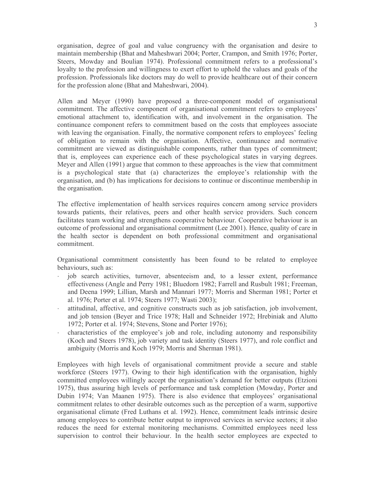organisation, degree of goal and value congruency with the organisation and desire to maintain membership (Bhat and Maheshwari 2004; Porter, Crampon, and Smith 1976; Porter, Steers, Mowday and Boulian 1974). Professional commitment refers to a professional's loyalty to the profession and willingness to exert effort to uphold the values and goals of the profession. Professionals like doctors may do well to provide healthcare out of their concern for the profession alone (Bhat and Maheshwari, 2004).

Allen and Meyer (1990) have proposed a three-component model of organisational commitment. The affective component of organisational commitment refers to employees' emotional attachment to, identification with, and involvement in the organisation. The continuance component refers to commitment based on the costs that employees associate with leaving the organisation. Finally, the normative component refers to employees' feeling of obligation to remain with the organisation. Affective, continuance and normative commitment are viewed as distinguishable components, rather than types of commitment; that is, employees can experience each of these psychological states in varying degrees. Meyer and Allen (1991) argue that common to these approaches is the view that commitment is a psychological state that (a) characterizes the employee's relationship with the organisation, and (b) has implications for decisions to continue or discontinue membership in the organisation.

The effective implementation of health services requires concern among service providers towards patients, their relatives, peers and other health service providers. Such concern facilitates team working and strengthens cooperative behaviour. Cooperative behaviour is an outcome of professional and organisational commitment (Lee 2001). Hence, quality of care in the health sector is dependent on both professional commitment and organisational commitment

Organisational commitment consistently has been found to be related to employee behaviours, such as:

- job search activities, turnover, absenteeism and, to a lesser extent, performance effectiveness (Angle and Perry 1981; Bluedorn 1982; Farrell and Rusbult 1981; Freeman, and Deena 1999; Lillian, Marsh and Mannari 1977; Morris and Sherman 1981; Porter et al. 1976; Porter et al. 1974; Steers 1977; Wasti 2003);
- attitudinal, affective, and cognitive constructs such as job satisfaction, job involvement, and job tension (Beyer and Trice 1978; Hall and Schneider 1972; Hrebiniak and Alutto 1972; Porter et al. 1974; Stevens, Stone and Porter 1976);
- characteristics of the employee's job and role, including autonomy and responsibility (Koch and Steers 1978), job variety and task identity (Steers 1977), and role conflict and ambiguity (Morris and Koch 1979; Morris and Sherman 1981).

Employees with high levels of organisational commitment provide a secure and stable workforce (Steers 1977). Owing to their high identification with the organisation, highly committed employees willingly accept the organisation's demand for better outputs (Etzioni 1975), thus assuring high levels of performance and task completion (Mowday, Porter and Dubin 1974; Van Maanen 1975). There is also evidence that employees' organisational commitment relates to other desirable outcomes such as the perception of a warm, supportive organisational climate (Fred Luthans et al. 1992). Hence, commitment leads intrinsic desire among employees to contribute better output to improved services in service sectors; it also reduces the need for external monitoring mechanisms. Committed employees need less supervision to control their behaviour. In the health sector employees are expected to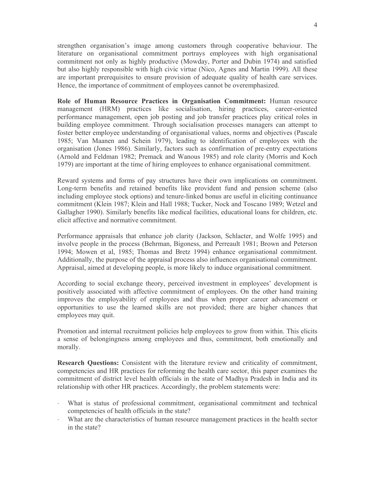strengthen organisation's image among customers through cooperative behaviour. The literature on organisational commitment portrays employees with high organisational commitment not only as highly productive (Mowday, Porter and Dubin 1974) and satisfied but also highly responsible with high civic virtue (Nico, Agnes and Martin 1999). All these are important prerequisites to ensure provision of adequate quality of health care services. Hence, the importance of commitment of employees cannot be overemphasized.

Role of Human Resource Practices in Organisation Commitment: Human resource management (HRM) practices like socialisation, hiring practices, career-oriented performance management, open job posting and job transfer practices play critical roles in building employee commitment. Through socialisation processes managers can attempt to foster better employee understanding of organisational values, norms and objectives (Pascale 1985; Van Maanen and Schein 1979), leading to identification of employees with the organisation (Jones 1986). Similarly, factors such as confirmation of pre-entry expectations (Arnold and Feldman 1982; Premack and Wanous 1985) and role clarity (Morris and Koch 1979) are important at the time of hiring employees to enhance organisational commitment.

Reward systems and forms of pay structures have their own implications on commitment. Long-term benefits and retained benefits like provident fund and pension scheme (also including employee stock options) and tenure-linked bonus are useful in eliciting continuance commitment (Klein 1987; Klein and Hall 1988; Tucker, Nock and Toscano 1989; Wetzel and Gallagher 1990). Similarly benefits like medical facilities, educational loans for children, etc. elicit affective and normative commitment

Performance appraisals that enhance job clarity (Jackson, Schlacter, and Wolfe 1995) and involve people in the process (Behrman, Bigoness, and Perreault 1981; Brown and Peterson 1994; Mowen et al, 1985; Thomas and Bretz 1994) enhance organisational commitment. Additionally, the purpose of the appraisal process also influences organisational commitment. Appraisal, aimed at developing people, is more likely to induce organisational commitment.

According to social exchange theory, perceived investment in employees' development is positively associated with affective commitment of employees. On the other hand training improves the employability of employees and thus when proper career advancement or opportunities to use the learned skills are not provided; there are higher chances that employees may quit.

Promotion and internal recruitment policies help employees to grow from within. This elicits a sense of belongingness among employees and thus, commitment, both emotionally and morally.

Research Questions: Consistent with the literature review and criticality of commitment, competencies and HR practices for reforming the health care sector, this paper examines the commitment of district level health officials in the state of Madhya Pradesh in India and its relationship with other HR practices. Accordingly, the problem statements were:

- What is status of professional commitment, organisational commitment and technical  $\mathcal{L}^{\text{max}}$ competencies of health officials in the state?
- What are the characteristics of human resource management practices in the health sector in the state?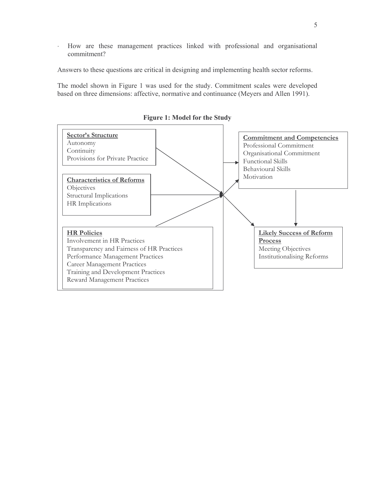How are these management practices linked with professional and organisational  $\overline{\phantom{a}}$ commitment?

Answers to these questions are critical in designing and implementing health sector reforms.

The model shown in Figure 1 was used for the study. Commitment scales were developed based on three dimensions: affective, normative and continuance (Meyers and Allen 1991).



**Figure 1: Model for the Study**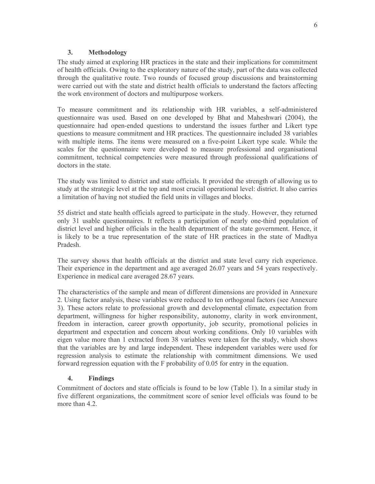### $3<sub>1</sub>$ Methodology

The study aimed at exploring HR practices in the state and their implications for commitment of health officials. Owing to the exploratory nature of the study, part of the data was collected through the qualitative route. Two rounds of focused group discussions and brainstorming were carried out with the state and district health officials to understand the factors affecting the work environment of doctors and multipurpose workers.

To measure commitment and its relationship with HR variables, a self-administered questionnaire was used. Based on one developed by Bhat and Maheshwari (2004), the questionnaire had open-ended questions to understand the issues further and Likert type questions to measure commitment and HR practices. The questionnaire included 38 variables with multiple items. The items were measured on a five-point Likert type scale. While the scales for the questionnaire were developed to measure professional and organisational commitment, technical competencies were measured through professional qualifications of doctors in the state.

The study was limited to district and state officials. It provided the strength of allowing us to study at the strategic level at the top and most crucial operational level: district. It also carries a limitation of having not studied the field units in villages and blocks.

55 district and state health officials agreed to participate in the study. However, they returned only 31 usable questionnaires. It reflects a participation of nearly one-third population of district level and higher officials in the health department of the state government. Hence, it is likely to be a true representation of the state of HR practices in the state of Madhya Pradesh.

The survey shows that health officials at the district and state level carry rich experience. Their experience in the department and age averaged 26.07 years and 54 years respectively. Experience in medical care averaged 28.67 years.

The characteristics of the sample and mean of different dimensions are provided in Annexure 2. Using factor analysis, these variables were reduced to ten orthogonal factors (see Annexure 3). These actors relate to professional growth and developmental climate, expectation from department, willingness for higher responsibility, autonomy, clarity in work environment, freedom in interaction, career growth opportunity, job security, promotional policies in department and expectation and concern about working conditions. Only 10 variables with eigen value more than 1 extracted from 38 variables were taken for the study, which shows that the variables are by and large independent. These independent variables were used for regression analysis to estimate the relationship with commitment dimensions. We used forward regression equation with the F probability of 0.05 for entry in the equation.

### 4. **Findings**

Commitment of doctors and state officials is found to be low (Table 1). In a similar study in five different organizations, the commitment score of senior level officials was found to be more than 4.2.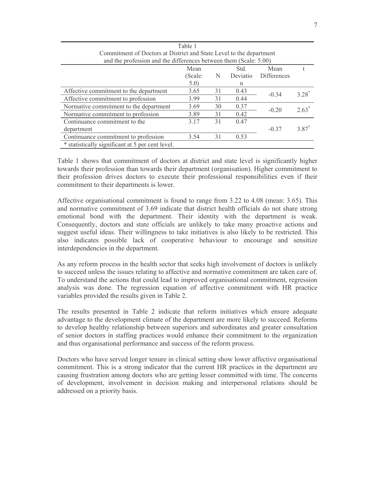| Table 1                                                             |         |    |          |                    |                   |  |  |
|---------------------------------------------------------------------|---------|----|----------|--------------------|-------------------|--|--|
| Commitment of Doctors at District and State Level to the department |         |    |          |                    |                   |  |  |
| and the profession and the differences between them (Scale: 5.00)   |         |    |          |                    |                   |  |  |
| Mean<br>Std.<br>Mean                                                |         |    |          |                    |                   |  |  |
|                                                                     | (Scale: | N  | Deviatio | <b>Differences</b> |                   |  |  |
|                                                                     | 5.0)    |    | n        |                    |                   |  |  |
| Affective commitment to the department                              | 3.65    | 31 | 0.43     | $-0.34$            | 3.28              |  |  |
| Affective commitment to profession                                  | 3.99    | 31 | 0.44     |                    |                   |  |  |
| Normative commitment to the department                              | 3.69    | 30 | 0.37     | $-0.20$            | $2.63*$           |  |  |
| Normative commitment to profession                                  | 3.89    | 31 | 0.42     |                    |                   |  |  |
| Continuance commitment to the                                       | 3 1 7   | 31 | 0.47     |                    |                   |  |  |
| department                                                          |         |    |          | $-0.37$            | 3.87 <sup>*</sup> |  |  |
| Continuance commitment to profession                                | 3.54    | 31 | 0.53     |                    |                   |  |  |
| * statistically significant at 5 per cent level.                    |         |    |          |                    |                   |  |  |

Table 1 shows that commitment of doctors at district and state level is significantly higher towards their profession than towards their department (organisation). Higher commitment to their profession drives doctors to execute their professional responsibilities even if their commitment to their departments is lower.

Affective organisational commitment is found to range from 3.22 to 4.08 (mean: 3.65). This and normative commitment of 3.69 indicate that district health officials do not share strong emotional bond with the department. Their identity with the department is weak. Consequently, doctors and state officials are unlikely to take many proactive actions and suggest useful ideas. Their willingness to take initiatives is also likely to be restricted. This also indicates possible lack of cooperative behaviour to encourage and sensitize interdependencies in the department.

As any reform process in the health sector that seeks high involvement of doctors is unlikely to succeed unless the issues relating to affective and normative commitment are taken care of. To understand the actions that could lead to improved organisational commitment, regression analysis was done. The regression equation of affective commitment with HR practice variables provided the results given in Table 2.

The results presented in Table 2 indicate that reform initiatives which ensure adequate advantage to the development climate of the department are more likely to succeed. Reforms to develop healthy relationship between superiors and subordinates and greater consultation of senior doctors in staffing practices would enhance their commitment to the organization and thus organisational performance and success of the reform process.

Doctors who have served longer tenure in clinical setting show lower affective organisational commitment. This is a strong indicator that the current HR practices in the department are causing frustration among doctors who are getting lesser committed with time. The concerns of development, involvement in decision making and interpersonal relations should be addressed on a priority basis.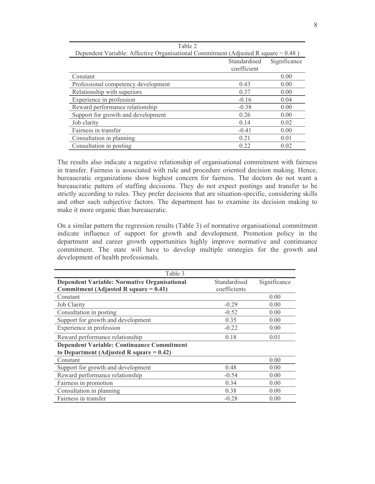| Table 2                                                                               |                              |      |  |  |  |
|---------------------------------------------------------------------------------------|------------------------------|------|--|--|--|
| Dependent Variable: Affective Organisational Commitment (Adjusted R square $= 0.48$ ) |                              |      |  |  |  |
|                                                                                       | Significance<br>Standardised |      |  |  |  |
|                                                                                       | coefficient                  |      |  |  |  |
| Constant                                                                              |                              | 0.00 |  |  |  |
| Professional competency development                                                   | 0.43                         | 0.00 |  |  |  |
| Relationship with superiors                                                           | 0.37                         | 0.00 |  |  |  |
| Experience in profession                                                              | $-0.16$                      | 0.04 |  |  |  |
| Reward performance relationship                                                       | $-0.38$                      | 0.00 |  |  |  |
| Support for growth and development                                                    | 0.26                         | 0.00 |  |  |  |
| Job clarity                                                                           | 0.14                         | 0.02 |  |  |  |
| Fairness in transfer                                                                  | $-0.41$                      | 0.00 |  |  |  |
| Consultation in planning                                                              | 0.21                         | 0.01 |  |  |  |
| Consultation in posting                                                               | 0.22                         | 0.02 |  |  |  |

The results also indicate a negative relationship of organisational commitment with fairness in transfer. Fairness is associated with rule and procedure oriented decision making. Hence, bureaucratic organizations show highest concern for fairness. The doctors do not want a bureaucratic pattern of staffing decisions. They do not expect postings and transfer to be strictly according to rules. They prefer decisions that are situation-specific, considering skills and other such subjective factors. The department has to examine its decision making to make it more organic than bureaucratic.

On a similar pattern the regression results (Table 3) of normative organisational commitment indicate influence of support for growth and development. Promotion policy in the department and career growth opportunities highly improve normative and continuance commitment. The state will have to develop multiple strategies for the growth and development of health professionals.

| Table 3                                             |              |              |
|-----------------------------------------------------|--------------|--------------|
| <b>Dependent Variable: Normative Organisational</b> | Standardised | Significance |
| Commitment (Adjusted R square $= 0.41$ )            | coefficients |              |
| Constant                                            |              | 0.00         |
| <b>Job Clarity</b>                                  | $-0.29$      | 0.00         |
| Consultation in posting                             | $-0.52$      | 0.00         |
| Support for growth and development                  | 0.35         | 0.00         |
| Experience in profession                            | $-0.22$      | 0.00         |
| Reward performance relationship                     | 0.18         | 0.01         |
| <b>Dependent Variable: Continuance Commitment</b>   |              |              |
| to Department (Adjusted R square $= 0.42$ )         |              |              |
| Constant                                            |              | 0.00         |
| Support for growth and development                  | 0.48         | 0.00         |
| Reward performance relationship                     | $-0.54$      | 0.00         |
| Fairness in promotion                               | 0.34         | 0.00         |
| Consultation in planning                            | 0.38         | 0.00         |
| Fairness in transfer                                | $-0.28$      | 0.00         |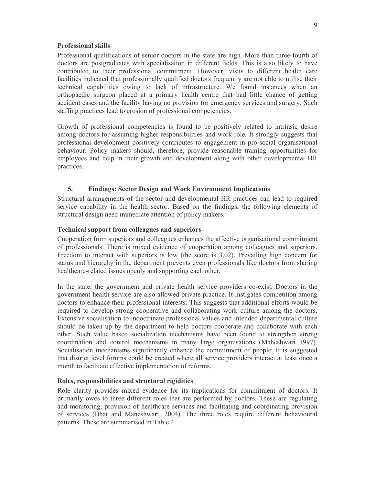## **Professional skills**

Professional qualifications of senior doctors in the state are high. More than three-fourth of doctors are postgraduates with specialisation in different fields. This is also likely to have contributed to their professional commitment. However, visits to different health care facilities indicated that professionally qualified doctors frequently are not able to utilise their technical capabilities owing to lack of infrastructure. We found instances when an orthopaedic surgeon placed at a primary health centre that had little chance of getting accident cases and the facility having no provision for emergency services and surgery. Such staffing practices lead to erosion of professional competencies.

Growth of professional competencies is found to be positively related to intrinsic desire among doctors for assuming higher responsibilities and work-role. It strongly suggests that professional development positively contributes to engagement in pro-social organisational behaviour. Policy makers should, therefore, provide reasonable training opportunities for employees and help in their growth and development along with other developmental HR practices.

#### $5.$ **Findings: Sector Design and Work Environment Implications**

Structural arrangements of the sector and developmental HR practices can lead to required service capability in the health sector. Based on the findings, the following elements of structural design need immediate attention of policy makers.

## **Technical support from colleagues and superiors**

Cooperation from superiors and colleagues enhances the affective organisational commitment of professionals. There is mixed evidence of cooperation among colleagues and superiors. Freedom to interact with superiors is low (the score is 3.02). Prevailing high concern for status and hierarchy in the department prevents even professionals like doctors from sharing healthcare-related issues openly and supporting each other.

In the state, the government and private health service providers co-exist. Doctors in the government health service are also allowed private practice. It instigates competition among doctors to enhance their professional interests. This suggests that additional efforts would be required to develop strong cooperative and collaborating work culture among the doctors. Extensive socialisation to indoctrinate professional values and intended departmental culture should be taken up by the department to help doctors cooperate and collaborate with each other. Such value based socialization mechanisms have been found to strengthen strong coordination and control mechanisms in many large organisations (Maheshwari 1997). Socialisation mechanisms significantly enhance the commitment of people. It is suggested that district level forums could be created where all service providers interact at least once a month to facilitate effective implementation of reforms.

## Roles, responsibilities and structural rigidities

Role clarity provides mixed evidence for its implications for commitment of doctors. It primarily owes to three different roles that are performed by doctors. These are regulating and monitoring, provision of healthcare services and facilitating and coordinating provision of services (Bhat and Maheshwari, 2004). The three roles require different behavioural patterns. These are summarised in Table 4.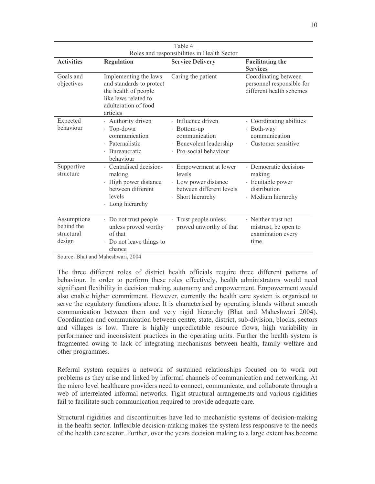| Table 4                                           |                                                                                                                                       |                                                                                                         |                                                                                            |  |  |  |
|---------------------------------------------------|---------------------------------------------------------------------------------------------------------------------------------------|---------------------------------------------------------------------------------------------------------|--------------------------------------------------------------------------------------------|--|--|--|
| Roles and responsibilities in Health Sector       |                                                                                                                                       |                                                                                                         |                                                                                            |  |  |  |
| <b>Activities</b>                                 | <b>Regulation</b>                                                                                                                     | <b>Service Delivery</b>                                                                                 | <b>Facilitating the</b><br><b>Services</b>                                                 |  |  |  |
| Goals and<br>objectives                           | Implementing the laws<br>and standards to protect<br>the health of people<br>like laws related to<br>adulteration of food<br>articles | Caring the patient                                                                                      | Coordinating between<br>personnel responsible for<br>different health schemes              |  |  |  |
| Expected<br>behaviour                             | · Authority driven<br>$\cdot$ Top-down<br>communication<br>· Paternalistic<br>Bureaucratic<br>behaviour                               | · Influence driven<br>· Bottom-up<br>communication<br>· Benevolent leadership<br>· Pro-social behaviour | · Coordinating abilities<br>Both-way<br>$\bullet$<br>communication<br>· Customer sensitive |  |  |  |
| Supportive<br>structure                           | · Centralised decision-<br>making<br>High power distance<br>between different<br>levels<br>· Long hierarchy                           | Empowerment at lower<br>levels<br>· Low power distance<br>between different levels<br>· Short hierarchy | Democratic decision-<br>making<br>Equitable power<br>distribution<br>Medium hierarchy<br>٠ |  |  |  |
| Assumptions<br>behind the<br>structural<br>design | · Do not trust people<br>unless proved worthy<br>of that<br>· Do not leave things to<br>chance                                        | Trust people unless<br>proved unworthy of that                                                          | $\cdot$ Neither trust not<br>mistrust, be open to<br>examination every<br>time.            |  |  |  |

Source: Bhat and Maheshwari, 2004

The three different roles of district health officials require three different patterns of behaviour. In order to perform these roles effectively, health administrators would need significant flexibility in decision making, autonomy and empowerment. Empowerment would also enable higher commitment. However, currently the health care system is organised to serve the regulatory functions alone. It is characterised by operating islands without smooth communication between them and very rigid hierarchy (Bhat and Maheshwari 2004). Coordination and communication between centre, state, district, sub-division, blocks, sectors and villages is low. There is highly unpredictable resource flows, high variability in performance and inconsistent practices in the operating units. Further the health system is fragmented owing to lack of integrating mechanisms between health, family welfare and other programmes.

Referral system requires a network of sustained relationships focused on to work out problems as they arise and linked by informal channels of communication and networking. At the micro level healthcare providers need to connect, communicate, and collaborate through a web of interrelated informal networks. Tight structural arrangements and various rigidities fail to facilitate such communication required to provide adequate care.

Structural rigidities and discontinuities have led to mechanistic systems of decision-making in the health sector. Inflexible decision-making makes the system less responsive to the needs of the health care sector. Further, over the years decision making to a large extent has become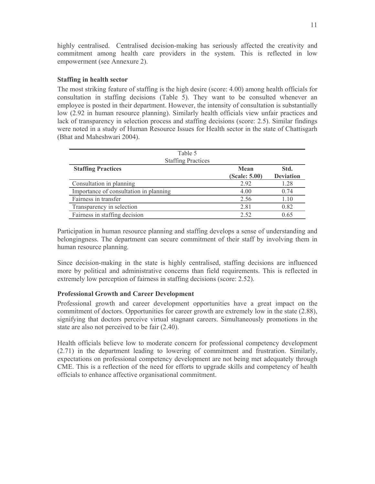highly centralised. Centralised decision-making has seriously affected the creativity and commitment among health care providers in the system. This is reflected in low empowerment (see Annexure 2).

## **Staffing in health sector**

The most striking feature of staffing is the high desire (score: 4.00) among health officials for consultation in staffing decisions (Table 5). They want to be consulted whenever an employee is posted in their department. However, the intensity of consultation is substantially low (2.92 in human resource planning). Similarly health officials view unfair practices and lack of transparency in selection process and staffing decisions (score: 2.5). Similar findings were noted in a study of Human Resource Issues for Health sector in the state of Chattisgarh (Bhat and Maheshwari 2004).

| Table 5                                |               |                  |
|----------------------------------------|---------------|------------------|
| <b>Staffing Practices</b>              |               |                  |
| <b>Staffing Practices</b>              | Mean          | Std.             |
|                                        | (Scale: 5.00) | <b>Deviation</b> |
| Consultation in planning               | 2.92          | 1.28             |
| Importance of consultation in planning | 4.00          | 0.74             |
| Fairness in transfer                   | 2.56          | 1.10             |
| Transparency in selection              | 2.81          | 0.82             |
| Fairness in staffing decision          | 2.52          | 0.65             |

Participation in human resource planning and staffing develops a sense of understanding and belongingness. The department can secure commitment of their staff by involving them in human resource planning.

Since decision-making in the state is highly centralised, staffing decisions are influenced more by political and administrative concerns than field requirements. This is reflected in extremely low perception of fairness in staffing decisions (score: 2.52).

# **Professional Growth and Career Development**

Professional growth and career development opportunities have a great impact on the commitment of doctors. Opportunities for career growth are extremely low in the state (2.88), signifying that doctors perceive virtual stagnant careers. Simultaneously promotions in the state are also not perceived to be fair (2.40).

Health officials believe low to moderate concern for professional competency development (2.71) in the department leading to lowering of commitment and frustration. Similarly, expectations on professional competency development are not being met adequately through CME. This is a reflection of the need for efforts to upgrade skills and competency of health officials to enhance affective organisational commitment.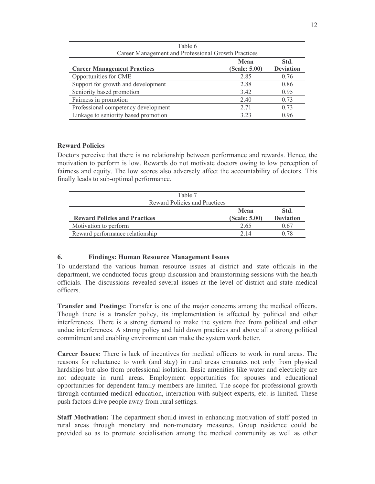| Table 6                                             |               |                  |  |  |  |  |
|-----------------------------------------------------|---------------|------------------|--|--|--|--|
| Career Management and Professional Growth Practices |               |                  |  |  |  |  |
| Mean<br>Std.                                        |               |                  |  |  |  |  |
| <b>Career Management Practices</b>                  | (Scale: 5.00) | <b>Deviation</b> |  |  |  |  |
| Opportunities for CME                               | 2.85          | 0.76             |  |  |  |  |
| Support for growth and development                  | 2.88          | 0.86             |  |  |  |  |
| Seniority based promotion                           | 3.42          | 0.95             |  |  |  |  |
| Fairness in promotion                               | 2.40          | 0.73             |  |  |  |  |
| Professional competency development                 | 2.71          | 0.73             |  |  |  |  |
| Linkage to seniority based promotion                | 3 2 3         | 0.96             |  |  |  |  |

## **Reward Policies**

Doctors perceive that there is no relationship between performance and rewards. Hence, the motivation to perform is low. Rewards do not motivate doctors owing to low perception of fairness and equity. The low scores also adversely affect the accountability of doctors. This finally leads to sub-optimal performance.

| Table 7                              |               |                  |
|--------------------------------------|---------------|------------------|
| Reward Policies and Practices        |               |                  |
|                                      | Mean          | Std.             |
| <b>Reward Policies and Practices</b> | (Scale: 5.00) | <b>Deviation</b> |
| Motivation to perform                | 2.65          | 0.67             |
| Reward performance relationship      | 2.14          |                  |

#### 6. **Findings: Human Resource Management Issues**

To understand the various human resource issues at district and state officials in the department, we conducted focus group discussion and brainstorming sessions with the health officials. The discussions revealed several issues at the level of district and state medical officers.

**Transfer and Postings:** Transfer is one of the major concerns among the medical officers. Though there is a transfer policy, its implementation is affected by political and other interferences. There is a strong demand to make the system free from political and other undue interferences. A strong policy and laid down practices and above all a strong political commitment and enabling environment can make the system work better.

**Career Issues:** There is lack of incentives for medical officers to work in rural areas. The reasons for reluctance to work (and stay) in rural areas emanates not only from physical hardships but also from professional isolation. Basic amenities like water and electricity are not adequate in rural areas. Employment opportunities for spouses and educational opportunities for dependent family members are limited. The scope for professional growth through continued medical education, interaction with subject experts, etc. is limited. These push factors drive people away from rural settings.

Staff Motivation: The department should invest in enhancing motivation of staff posted in rural areas through monetary and non-monetary measures. Group residence could be provided so as to promote socialisation among the medical community as well as other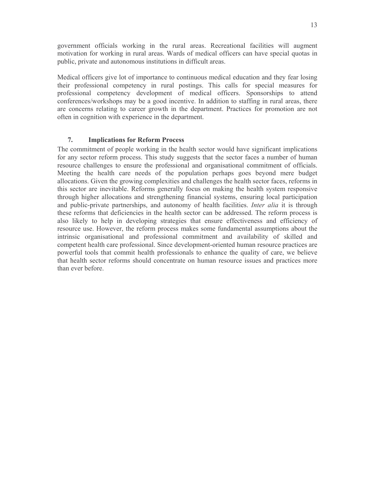government officials working in the rural areas. Recreational facilities will augment motivation for working in rural areas. Wards of medical officers can have special quotas in public, private and autonomous institutions in difficult areas.

Medical officers give lot of importance to continuous medical education and they fear losing their professional competency in rural postings. This calls for special measures for professional competency development of medical officers. Sponsorships to attend conferences/workshops may be a good incentive. In addition to staffing in rural areas, there are concerns relating to career growth in the department. Practices for promotion are not often in cognition with experience in the department.

#### 7. **Implications for Reform Process**

The commitment of people working in the health sector would have significant implications for any sector reform process. This study suggests that the sector faces a number of human resource challenges to ensure the professional and organisational commitment of officials. Meeting the health care needs of the population perhaps goes beyond mere budget allocations. Given the growing complexities and challenges the health sector faces, reforms in this sector are inevitable. Reforms generally focus on making the health system responsive through higher allocations and strengthening financial systems, ensuring local participation and public-private partnerships, and autonomy of health facilities. Inter alia it is through these reforms that deficiencies in the health sector can be addressed. The reform process is also likely to help in developing strategies that ensure effectiveness and efficiency of resource use. However, the reform process makes some fundamental assumptions about the intrinsic organisational and professional commitment and availability of skilled and competent health care professional. Since development-oriented human resource practices are powerful tools that commit health professionals to enhance the quality of care, we believe that health sector reforms should concentrate on human resource issues and practices more than ever before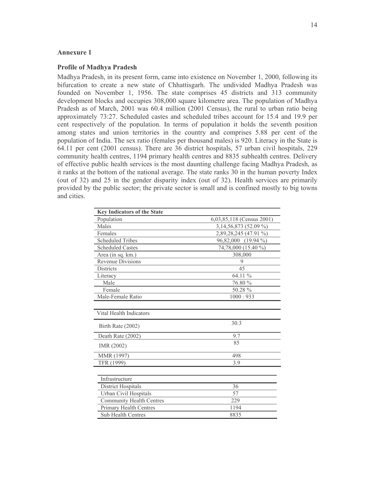## **Annexure 1**

### **Profile of Madhya Pradesh**

Madhya Pradesh, in its present form, came into existence on November 1, 2000, following its bifurcation to create a new state of Chhattisgarh. The undivided Madhya Pradesh was founded on November 1, 1956. The state comprises 45 districts and 313 community development blocks and occupies 308,000 square kilometre area. The population of Madhya Pradesh as of March, 2001 was 60.4 million (2001 Census), the rural to urban ratio being approximately 73:27. Scheduled castes and scheduled tribes account for 15.4 and 19.9 per cent respectively of the population. In terms of population it holds the seventh position among states and union territories in the country and comprises 5.88 per cent of the population of India. The sex ratio (females per thousand males) is 920. Literacy in the State is 64.11 per cent (2001 census). There are 36 district hospitals, 57 urban civil hospitals, 229 community health centres, 1194 primary health centres and 8835 subhealth centres. Delivery of effective public health services is the most daunting challenge facing Madhya Pradesh, as it ranks at the bottom of the national average. The state ranks 30 in the human poverty Index (out of 32) and 25 in the gender disparity index (out of 32). Health services are primarily provided by the public sector; the private sector is small and is confined mostly to big towns and cities.

| <b>Key Indicators of the State</b> |                           |
|------------------------------------|---------------------------|
| Population                         | 6,03,85,118 (Census 2001) |
| Males                              | 3, 14, 56, 873 (52.09 %)  |
| Females                            | 2,89,28,245 (47.91 %)     |
| <b>Scheduled Tribes</b>            | 96,82,000 (19.94 %)       |
| <b>Scheduled Castes</b>            | 74,78,000 (15.40 %)       |
| Area (in sq. km.)                  | 308,000                   |
| <b>Revenue Divisions</b>           | 9                         |
| <b>Districts</b>                   | 45                        |
| Literacy                           | 64.11 %                   |
| Male                               | 76.80 %                   |
| Female                             | 50.28 %                   |
| Male-Female Ratio                  | 1000:933                  |
|                                    |                           |
| Vital Health Indicators            |                           |
| Birth Rate (2002)                  | 30.3                      |
| Death Rate (2002)                  | 9.7                       |
| IMR (2002)                         | 85                        |
| MMR (1997)                         | 498                       |
| TFR (1999)                         | 3.9                       |
|                                    |                           |
| Infrastructure                     |                           |
| District Hospitals                 | 36                        |
| Urban Civil Hospitals              | 57                        |
| <b>Community Health Centres</b>    | 229                       |
| Primary Health Centres             | 1194                      |
| <b>Sub Health Centres</b>          | 8835                      |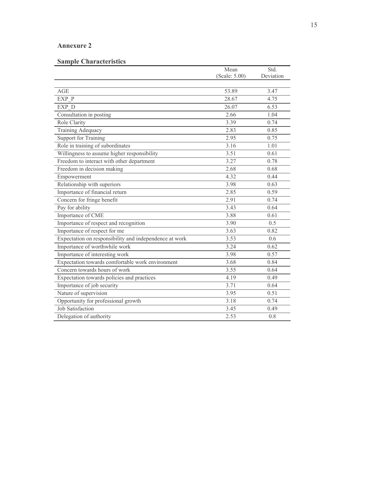# **Annexure 2**

# **Sample Characteristics**

|                                                        | Mean<br>(Scale: 5.00) | Std.<br>Deviation |
|--------------------------------------------------------|-----------------------|-------------------|
|                                                        |                       |                   |
| AGE                                                    | 53.89                 | 3.47              |
| EXP P                                                  | 28.67                 | 4.75              |
| EXP D                                                  | 26.07                 | 6.53              |
| Consultation in posting                                | 2.66                  | 1.04              |
| Role Clarity                                           | 3.39                  | 0.74              |
| <b>Training Adequacy</b>                               | 2.83                  | 0.85              |
| <b>Support for Training</b>                            | 2.95                  | 0.75              |
| Role in training of subordinates                       | 3.16                  | 1.01              |
| Willingness to assume higher responsibility            | 3.51                  | 0.61              |
| Freedom to interact with other department              | 3.27                  | 0.78              |
| Freedom in decision making                             | 2.68                  | 0.68              |
| Empowerment                                            | 4.32                  | 0.44              |
| Relationship with superiors                            | 3.98                  | 0.63              |
| Importance of financial return                         | 2.85                  | 0.59              |
| Concern for fringe benefit                             | 2.91                  | 0.74              |
| Pay for ability                                        | 3.43                  | 0.64              |
| Importance of CME                                      | 3.88                  | 0.61              |
| Importance of respect and recognition                  | 3.90                  | 0.5               |
| Importance of respect for me                           | 3.63                  | 0.82              |
| Expectation on responsibility and independence at work | 3.53                  | 0.6               |
| Importance of worthwhile work                          | 3.24                  | 0.62              |
| Importance of interesting work                         | 3.98                  | 0.57              |
| Expectation towards comfortable work environment       | 3.68                  | 0.84              |
| Concern towards hours of work                          | 3.55                  | 0.64              |
| Expectation towards policies and practices             | 4.19                  | 0.49              |
| Importance of job security                             | 3.71                  | 0.64              |
| Nature of supervision                                  | 3.95                  | 0.51              |
| Opportunity for professional growth                    | 3.18                  | 0.74              |
| <b>Job Satisfaction</b>                                | 3.45                  | 0.49              |
| Delegation of authority                                | 2.53                  | 0.8               |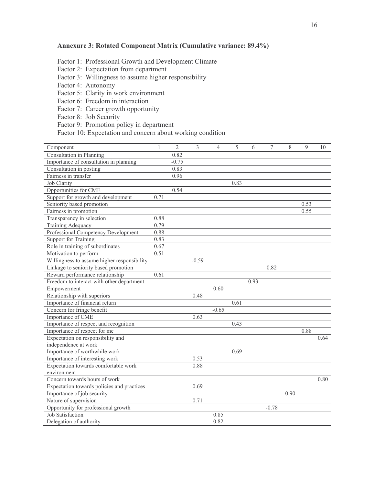# Annexure 3: Rotated Component Matrix (Cumulative variance: 89.4%)

- Factor 1: Professional Growth and Development Climate
- Factor 2: Expectation from department
- Factor 3: Willingness to assume higher responsibility
- Factor 4: Autonomy
- Factor 5: Clarity in work environment
- Factor 6: Freedom in interaction
- Factor 7: Career growth opportunity
- Factor 8: Job Security
- Factor 9: Promotion policy in department
- Factor 10: Expectation and concern about working condition

| Component                                   | 1    | $\overline{2}$ | 3       | $\overline{4}$ | 5    | 6    | 7       | 8    | 9    | 10   |
|---------------------------------------------|------|----------------|---------|----------------|------|------|---------|------|------|------|
| Consultation in Planning                    |      | 0.82           |         |                |      |      |         |      |      |      |
| Importance of consultation in planning      |      | $-0.75$        |         |                |      |      |         |      |      |      |
| Consultation in posting                     |      | 0.83           |         |                |      |      |         |      |      |      |
| Fairness in transfer                        |      | 0.96           |         |                |      |      |         |      |      |      |
| <b>Job Clarity</b>                          |      |                |         |                | 0.83 |      |         |      |      |      |
| Opportunities for CME                       |      | 0.54           |         |                |      |      |         |      |      |      |
| Support for growth and development          | 0.71 |                |         |                |      |      |         |      |      |      |
| Seniority based promotion                   |      |                |         |                |      |      |         |      | 0.53 |      |
| Fairness in promotion                       |      |                |         |                |      |      |         |      | 0.55 |      |
| Transparency in selection                   | 0.88 |                |         |                |      |      |         |      |      |      |
| Training Adequacy                           | 0.79 |                |         |                |      |      |         |      |      |      |
| Professional Competency Development         | 0.88 |                |         |                |      |      |         |      |      |      |
| <b>Support for Training</b>                 | 0.83 |                |         |                |      |      |         |      |      |      |
| Role in training of subordinates            | 0.67 |                |         |                |      |      |         |      |      |      |
| Motivation to perform                       | 0.51 |                |         |                |      |      |         |      |      |      |
| Willingness to assume higher responsibility |      |                | $-0.59$ |                |      |      |         |      |      |      |
| Linkage to seniority based promotion        |      |                |         |                |      |      | 0.82    |      |      |      |
| Reward performance relationship             | 0.61 |                |         |                |      |      |         |      |      |      |
| Freedom to interact with other department   |      |                |         |                |      | 0.93 |         |      |      |      |
| Empowerment                                 |      |                |         | 0.60           |      |      |         |      |      |      |
| Relationship with superiors                 |      |                | 0.48    |                |      |      |         |      |      |      |
| Importance of financial return              |      |                |         |                | 0.61 |      |         |      |      |      |
| Concern for fringe benefit                  |      |                |         | $-0.65$        |      |      |         |      |      |      |
| Importance of CME                           |      |                | 0.63    |                |      |      |         |      |      |      |
| Importance of respect and recognition       |      |                |         |                | 0.43 |      |         |      |      |      |
| Importance of respect for me                |      |                |         |                |      |      |         |      | 0.88 |      |
| Expectation on responsibility and           |      |                |         |                |      |      |         |      |      | 0.64 |
| independence at work                        |      |                |         |                |      |      |         |      |      |      |
| Importance of worthwhile work               |      |                |         |                | 0.69 |      |         |      |      |      |
| Importance of interesting work              |      |                | 0.53    |                |      |      |         |      |      |      |
| Expectation towards comfortable work        |      |                | 0.88    |                |      |      |         |      |      |      |
| environment                                 |      |                |         |                |      |      |         |      |      |      |
| Concern towards hours of work               |      |                |         |                |      |      |         |      |      | 0.80 |
| Expectation towards policies and practices  |      |                | 0.69    |                |      |      |         |      |      |      |
| Importance of job security                  |      |                |         |                |      |      |         | 0.90 |      |      |
| Nature of supervision                       |      |                | 0.71    |                |      |      |         |      |      |      |
| Opportunity for professional growth         |      |                |         |                |      |      | $-0.78$ |      |      |      |
| Job Satisfaction                            |      |                |         | 0.85           |      |      |         |      |      |      |
| Delegation of authority                     |      |                |         | 0.82           |      |      |         |      |      |      |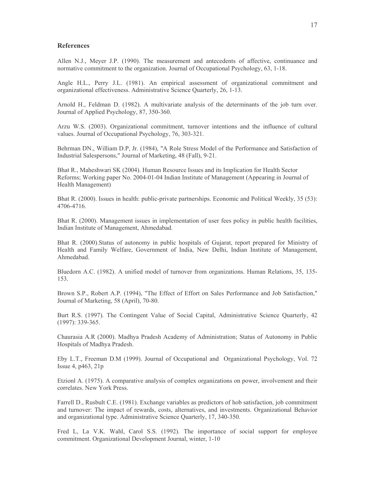### **References**

Allen N.J., Meyer J.P. (1990). The measurement and antecedents of affective, continuance and normative commitment to the organization. Journal of Occupational Psychology, 63, 1-18.

Angle H.L., Perry J.L. (1981). An empirical assessment of organizational commitment and organizational effectiveness. Administrative Science Quarterly, 26, 1-13.

Arnold H., Feldman D. (1982). A multivariate analysis of the determinants of the job turn over. Journal of Applied Psychology, 87, 350-360.

Arzu W.S. (2003). Organizational commitment, turnover intentions and the influence of cultural values. Journal of Occupational Psychology, 76, 303-321.

Behrman DN., William D.P, Jr. (1984), "A Role Stress Model of the Performance and Satisfaction of Industrial Salespersons," Journal of Marketing, 48 (Fall), 9-21.

Bhat R., Maheshwari SK (2004). Human Resource Issues and its Implication for Health Sector Reforms; Working paper No. 2004-01-04 Indian Institute of Management (Appearing in Journal of Health Management)

Bhat R. (2000). Issues in health: public-private partnerships. Economic and Political Weekly, 35 (53): 4706-4716.

Bhat R. (2000). Management issues in implementation of user fees policy in public health facilities, Indian Institute of Management, Ahmedabad.

Bhat R. (2000).Status of autonomy in public hospitals of Gujarat, report prepared for Ministry of Health and Family Welfare, Government of India, New Delhi, Indian Institute of Management, Ahmedabad

Bluedorn A.C. (1982). A unified model of turnover from organizations. Human Relations, 35, 135-153.

Brown S.P., Robert A.P. (1994), "The Effect of Effort on Sales Performance and Job Satisfaction," Journal of Marketing, 58 (April), 70-80.

Burt R.S. (1997). The Contingent Value of Social Capital, Administrative Science Quarterly, 42  $(1997): 339-365.$ 

Chaurasia A.R (2000). Madhya Pradesh Academy of Administration; Status of Autonomy in Public Hospitals of Madhya Pradesh.

Eby L.T., Freeman D.M (1999). Journal of Occupational and Organizational Psychology, Vol. 72 Issue 4, p463, 21p

Etzionl A. (1975). A comparative analysis of complex organizations on power, involvement and their correlates. New York Press.

Farrell D., Rusbult C.E. (1981). Exchange variables as predictors of hob satisfaction, job commitment and turnover: The impact of rewards, costs, alternatives, and investments. Organizational Behavior and organizational type. Administrative Science Quarterly, 17, 340-350.

Fred L, La V.K. Wahl, Carol S.S. (1992). The importance of social support for employee commitment. Organizational Development Journal, winter, 1-10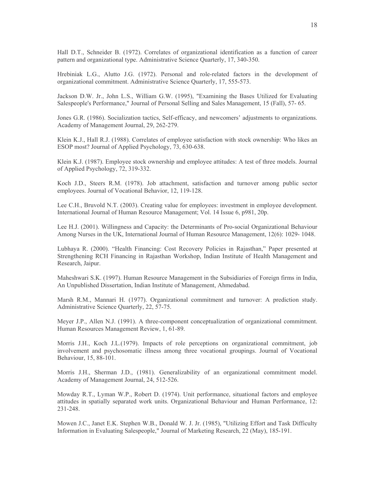Hall D.T., Schneider B. (1972). Correlates of organizational identification as a function of career pattern and organizational type. Administrative Science Quarterly, 17, 340-350.

Hrebiniak L.G., Alutto J.G. (1972). Personal and role-related factors in the development of organizational commitment. Administrative Science Quarterly, 17, 555-573.

Jackson D.W. Jr., John L.S., William G.W. (1995), "Examining the Bases Utilized for Evaluating Salespeople's Performance," Journal of Personal Selling and Sales Management, 15 (Fall), 57- 65.

Jones G.R. (1986). Socialization tactics, Self-efficacy, and newcomers' adjustments to organizations. Academy of Management Journal, 29, 262-279.

Klein K.J., Hall R.J. (1988). Correlates of employee satisfaction with stock ownership: Who likes an ESOP most? Journal of Applied Psychology, 73, 630-638.

Klein K.J. (1987). Employee stock ownership and employee attitudes: A test of three models. Journal of Applied Psychology, 72, 319-332.

Koch J.D., Steers R.M. (1978). Job attachment, satisfaction and turnover among public sector employees. Journal of Vocational Behavior, 12, 119-128.

Lee C.H., Bruvold N.T. (2003). Creating value for employees: investment in employee development. International Journal of Human Resource Management; Vol. 14 Issue 6, p981, 20p.

Lee H.J. (2001). Willingness and Capacity: the Determinants of Pro-social Organizational Behaviour Among Nurses in the UK, International Journal of Human Resource Management, 12(6): 1029-1048.

Lubhaya R. (2000). "Health Financing: Cost Recovery Policies in Rajasthan," Paper presented at Strengthening RCH Financing in Rajasthan Workshop, Indian Institute of Health Management and Research, Jaipur.

Maheshwari S.K. (1997). Human Resource Management in the Subsidiaries of Foreign firms in India, An Unpublished Dissertation, Indian Institute of Management, Ahmedabad.

Marsh R.M., Mannari H. (1977). Organizational commitment and turnover: A prediction study. Administrative Science Quarterly, 22, 57-75.

Meyer J.P., Allen N.J. (1991). A three-component conceptualization of organizational commitment. Human Resources Management Review, 1, 61-89.

Morris J.H., Koch J.L. (1979). Impacts of role perceptions on organizational commitment, job involvement and psychosomatic illness among three vocational groupings. Journal of Vocational Behaviour, 15, 88-101.

Morris J.H., Sherman J.D., (1981). Generalizability of an organizational commitment model. Academy of Management Journal, 24, 512-526.

Mowday R.T., Lyman W.P., Robert D. (1974). Unit performance, situational factors and employee attitudes in spatially separated work units. Organizational Behaviour and Human Performance, 12: 231-248.

Mowen J.C., Janet E.K. Stephen W.B., Donald W. J. Jr. (1985), "Utilizing Effort and Task Difficulty Information in Evaluating Salespeople," Journal of Marketing Research, 22 (May), 185-191.